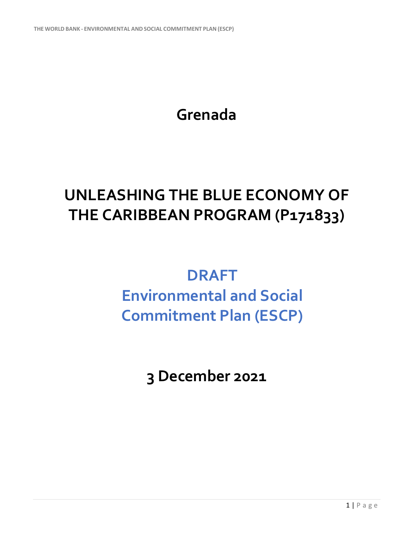**Grenada**

## **UNLEASHING THE BLUE ECONOMY OF THE CARIBBEAN PROGRAM (P171833)**

## **DRAFT**

## **Environmental and Social Commitment Plan (ESCP)**

**3 December 2021**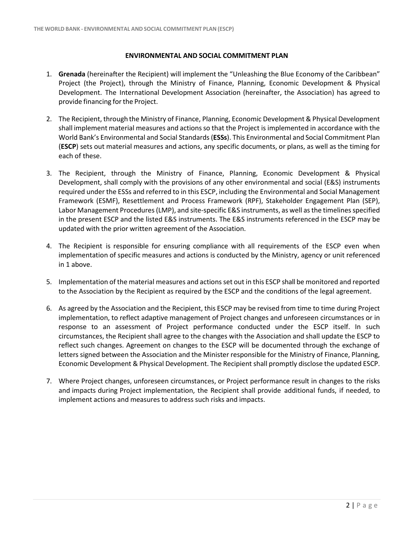## **ENVIRONMENTAL AND SOCIAL COMMITMENT PLAN**

- 1. **Grenada** (hereinafter the Recipient) will implement the "Unleashing the Blue Economy of the Caribbean" Project (the Project), through the Ministry of Finance, Planning, Economic Development & Physical Development. The International Development Association (hereinafter, the Association) has agreed to provide financing forthe Project.
- 2. The Recipient, through the Ministry of Finance, Planning, Economic Development & Physical Development shall implement material measures and actions so that the Project is implemented in accordance with the World Bank's Environmental and Social Standards(**ESSs**). This Environmental and Social Commitment Plan (**ESCP**) sets out material measures and actions, any specific documents, or plans, as well as the timing for each of these.
- 3. The Recipient, through the Ministry of Finance, Planning, Economic Development & Physical Development, shall comply with the provisions of any other environmental and social (E&S) instruments required under the ESSs and referred to in this ESCP, including the Environmental and Social Management Framework (ESMF), Resettlement and Process Framework (RPF), Stakeholder Engagement Plan (SEP), Labor Management Procedures (LMP), and site-specific E&S instruments, as well as the timelines specified in the present ESCP and the listed E&S instruments. The E&S instruments referenced in the ESCP may be updated with the prior written agreement of the Association.
- 4. The Recipient is responsible for ensuring compliance with all requirements of the ESCP even when implementation of specific measures and actions is conducted by the Ministry, agency or unit referenced in 1 above.
- 5. Implementation of the material measures and actions set out in this ESCP shall be monitored and reported to the Association by the Recipient as required by the ESCP and the conditions of the legal agreement.
- 6. As agreed by the Association and the Recipient, this ESCP may be revised from time to time during Project implementation, to reflect adaptive management of Project changes and unforeseen circumstances or in response to an assessment of Project performance conducted under the ESCP itself. In such circumstances, the Recipient shall agree to the changes with the Association and shall update the ESCP to reflect such changes. Agreement on changes to the ESCP will be documented through the exchange of letters signed between the Association and the Minister responsible for the Ministry of Finance, Planning, Economic Development & Physical Development. The Recipient shall promptly disclose the updated ESCP.
- 7. Where Project changes, unforeseen circumstances, or Project performance result in changes to the risks and impacts during Project implementation, the Recipient shall provide additional funds, if needed, to implement actions and measures to address such risks and impacts.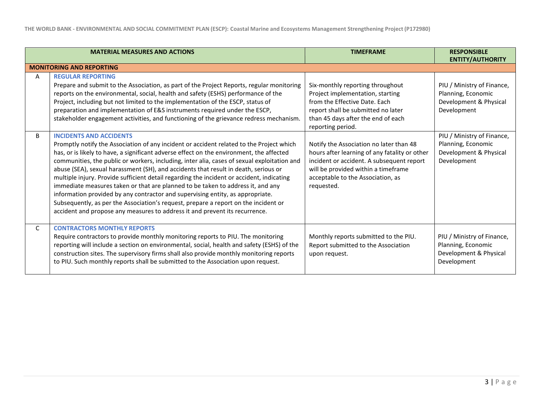|              | <b>MATERIAL MEASURES AND ACTIONS</b>                                                                                                                                                                                                                                                                                                                                                                                                                                                                                                                                                                                                                                                                                                                                                                                                                 | <b>TIMEFRAME</b>                                                                                                                                                                                                                | <b>RESPONSIBLE</b><br><b>ENTITY/AUTHORITY</b>                                             |
|--------------|------------------------------------------------------------------------------------------------------------------------------------------------------------------------------------------------------------------------------------------------------------------------------------------------------------------------------------------------------------------------------------------------------------------------------------------------------------------------------------------------------------------------------------------------------------------------------------------------------------------------------------------------------------------------------------------------------------------------------------------------------------------------------------------------------------------------------------------------------|---------------------------------------------------------------------------------------------------------------------------------------------------------------------------------------------------------------------------------|-------------------------------------------------------------------------------------------|
|              | <b>MONITORING AND REPORTING</b>                                                                                                                                                                                                                                                                                                                                                                                                                                                                                                                                                                                                                                                                                                                                                                                                                      |                                                                                                                                                                                                                                 |                                                                                           |
| A            | <b>REGULAR REPORTING</b><br>Prepare and submit to the Association, as part of the Project Reports, regular monitoring<br>reports on the environmental, social, health and safety (ESHS) performance of the<br>Project, including but not limited to the implementation of the ESCP, status of<br>preparation and implementation of E&S instruments required under the ESCP,<br>stakeholder engagement activities, and functioning of the grievance redress mechanism.                                                                                                                                                                                                                                                                                                                                                                                | Six-monthly reporting throughout<br>Project implementation, starting<br>from the Effective Date. Each<br>report shall be submitted no later<br>than 45 days after the end of each<br>reporting period.                          | PIU / Ministry of Finance,<br>Planning, Economic<br>Development & Physical<br>Development |
| B            | <b>INCIDENTS AND ACCIDENTS</b><br>Promptly notify the Association of any incident or accident related to the Project which<br>has, or is likely to have, a significant adverse effect on the environment, the affected<br>communities, the public or workers, including, inter alia, cases of sexual exploitation and<br>abuse (SEA), sexual harassment (SH), and accidents that result in death, serious or<br>multiple injury. Provide sufficient detail regarding the incident or accident, indicating<br>immediate measures taken or that are planned to be taken to address it, and any<br>information provided by any contractor and supervising entity, as appropriate.<br>Subsequently, as per the Association's request, prepare a report on the incident or<br>accident and propose any measures to address it and prevent its recurrence. | Notify the Association no later than 48<br>hours after learning of any fatality or other<br>incident or accident. A subsequent report<br>will be provided within a timeframe<br>acceptable to the Association, as<br>requested. | PIU / Ministry of Finance,<br>Planning, Economic<br>Development & Physical<br>Development |
| $\mathsf{C}$ | <b>CONTRACTORS MONTHLY REPORTS</b><br>Require contractors to provide monthly monitoring reports to PIU. The monitoring<br>reporting will include a section on environmental, social, health and safety (ESHS) of the<br>construction sites. The supervisory firms shall also provide monthly monitoring reports<br>to PIU. Such monthly reports shall be submitted to the Association upon request.                                                                                                                                                                                                                                                                                                                                                                                                                                                  | Monthly reports submitted to the PIU.<br>Report submitted to the Association<br>upon request.                                                                                                                                   | PIU / Ministry of Finance,<br>Planning, Economic<br>Development & Physical<br>Development |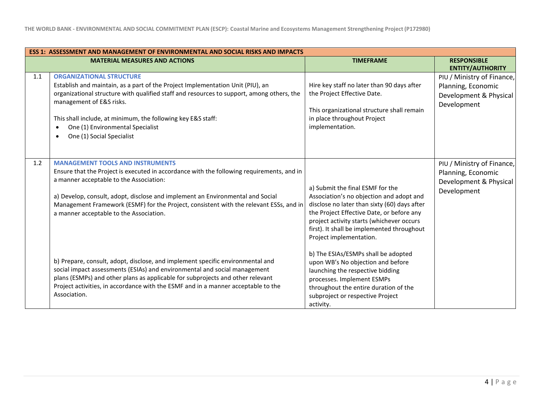|     | <b>ESS 1: ASSESSMENT AND MANAGEMENT OF ENVIRONMENTAL AND SOCIAL RISKS AND IMPACTS</b>                                                                                                                                                                                                                                                                                                                  |                                                                                                                                                                                                                                                                                                 |                                                                                           |  |
|-----|--------------------------------------------------------------------------------------------------------------------------------------------------------------------------------------------------------------------------------------------------------------------------------------------------------------------------------------------------------------------------------------------------------|-------------------------------------------------------------------------------------------------------------------------------------------------------------------------------------------------------------------------------------------------------------------------------------------------|-------------------------------------------------------------------------------------------|--|
|     | <b>MATERIAL MEASURES AND ACTIONS</b>                                                                                                                                                                                                                                                                                                                                                                   | <b>TIMEFRAME</b>                                                                                                                                                                                                                                                                                | <b>RESPONSIBLE</b><br><b>ENTITY/AUTHORITY</b>                                             |  |
| 1.1 | <b>ORGANIZATIONAL STRUCTURE</b><br>Establish and maintain, as a part of the Project Implementation Unit (PIU), an<br>organizational structure with qualified staff and resources to support, among others, the<br>management of E&S risks.<br>This shall include, at minimum, the following key E&S staff:<br>One (1) Environmental Specialist<br>One (1) Social Specialist                            | Hire key staff no later than 90 days after<br>the Project Effective Date.<br>This organizational structure shall remain<br>in place throughout Project<br>implementation.                                                                                                                       | PIU / Ministry of Finance,<br>Planning, Economic<br>Development & Physical<br>Development |  |
| 1.2 | <b>MANAGEMENT TOOLS AND INSTRUMENTS</b><br>Ensure that the Project is executed in accordance with the following requirements, and in<br>a manner acceptable to the Association:<br>a) Develop, consult, adopt, disclose and implement an Environmental and Social<br>Management Framework (ESMF) for the Project, consistent with the relevant ESSs, and in<br>a manner acceptable to the Association. | a) Submit the final ESMF for the<br>Association's no objection and adopt and<br>disclose no later than sixty (60) days after<br>the Project Effective Date, or before any<br>project activity starts (whichever occurs<br>first). It shall be implemented throughout<br>Project implementation. | PIU / Ministry of Finance,<br>Planning, Economic<br>Development & Physical<br>Development |  |
|     | b) Prepare, consult, adopt, disclose, and implement specific environmental and<br>social impact assessments (ESIAs) and environmental and social management<br>plans (ESMPs) and other plans as applicable for subprojects and other relevant<br>Project activities, in accordance with the ESMF and in a manner acceptable to the<br>Association.                                                     | b) The ESIAs/ESMPs shall be adopted<br>upon WB's No objection and before<br>launching the respective bidding<br>processes. Implement ESMPs<br>throughout the entire duration of the<br>subproject or respective Project<br>activity.                                                            |                                                                                           |  |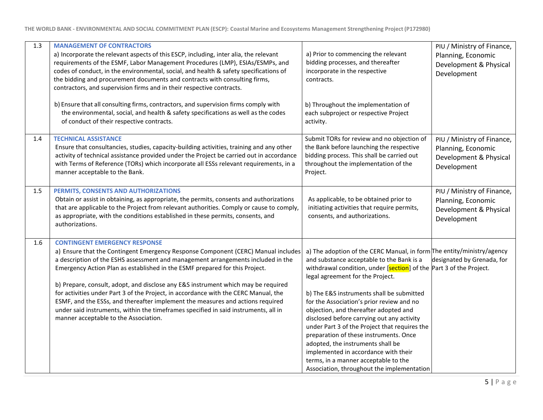| 1.3 | <b>MANAGEMENT OF CONTRACTORS</b><br>a) Incorporate the relevant aspects of this ESCP, including, inter alia, the relevant<br>requirements of the ESMF, Labor Management Procedures (LMP), ESIAs/ESMPs, and<br>codes of conduct, in the environmental, social, and health & safety specifications of<br>the bidding and procurement documents and contracts with consulting firms,<br>contractors, and supervision firms and in their respective contracts.<br>b) Ensure that all consulting firms, contractors, and supervision firms comply with                                                                                                                                          | a) Prior to commencing the relevant<br>bidding processes, and thereafter<br>incorporate in the respective<br>contracts.<br>b) Throughout the implementation of                                                                                                                                                                                                                                                                                                                                                                                                                                                                                                                | PIU / Ministry of Finance,<br>Planning, Economic<br>Development & Physical<br>Development |
|-----|--------------------------------------------------------------------------------------------------------------------------------------------------------------------------------------------------------------------------------------------------------------------------------------------------------------------------------------------------------------------------------------------------------------------------------------------------------------------------------------------------------------------------------------------------------------------------------------------------------------------------------------------------------------------------------------------|-------------------------------------------------------------------------------------------------------------------------------------------------------------------------------------------------------------------------------------------------------------------------------------------------------------------------------------------------------------------------------------------------------------------------------------------------------------------------------------------------------------------------------------------------------------------------------------------------------------------------------------------------------------------------------|-------------------------------------------------------------------------------------------|
|     | the environmental, social, and health & safety specifications as well as the codes<br>of conduct of their respective contracts.                                                                                                                                                                                                                                                                                                                                                                                                                                                                                                                                                            | each subproject or respective Project<br>activity.                                                                                                                                                                                                                                                                                                                                                                                                                                                                                                                                                                                                                            |                                                                                           |
| 1.4 | <b>TECHNICAL ASSISTANCE</b><br>Ensure that consultancies, studies, capacity-building activities, training and any other<br>activity of technical assistance provided under the Project be carried out in accordance<br>with Terms of Reference (TORs) which incorporate all ESSs relevant requirements, in a<br>manner acceptable to the Bank.                                                                                                                                                                                                                                                                                                                                             | Submit TORs for review and no objection of<br>the Bank before launching the respective<br>bidding process. This shall be carried out<br>throughout the implementation of the<br>Project.                                                                                                                                                                                                                                                                                                                                                                                                                                                                                      | PIU / Ministry of Finance,<br>Planning, Economic<br>Development & Physical<br>Development |
| 1.5 | PERMITS, CONSENTS AND AUTHORIZATIONS<br>Obtain or assist in obtaining, as appropriate, the permits, consents and authorizations<br>that are applicable to the Project from relevant authorities. Comply or cause to comply,<br>as appropriate, with the conditions established in these permits, consents, and<br>authorizations.                                                                                                                                                                                                                                                                                                                                                          | As applicable, to be obtained prior to<br>initiating activities that require permits,<br>consents, and authorizations.                                                                                                                                                                                                                                                                                                                                                                                                                                                                                                                                                        | PIU / Ministry of Finance,<br>Planning, Economic<br>Development & Physical<br>Development |
| 1.6 | <b>CONTINGENT EMERGENCY RESPONSE</b><br>a) Ensure that the Contingent Emergency Response Component (CERC) Manual includes<br>a description of the ESHS assessment and management arrangements included in the<br>Emergency Action Plan as established in the ESMF prepared for this Project.<br>b) Prepare, consult, adopt, and disclose any E&S instrument which may be required<br>for activities under Part 3 of the Project, in accordance with the CERC Manual, the<br>ESMF, and the ESSs, and thereafter implement the measures and actions required<br>under said instruments, within the timeframes specified in said instruments, all in<br>manner acceptable to the Association. | a) The adoption of the CERC Manual, in form The entity/ministry/agency<br>and substance acceptable to the Bank is a<br>withdrawal condition, under [section] of the Part 3 of the Project.<br>legal agreement for the Project.<br>b) The E&S instruments shall be submitted<br>for the Association's prior review and no<br>objection, and thereafter adopted and<br>disclosed before carrying out any activity<br>under Part 3 of the Project that requires the<br>preparation of these instruments. Once<br>adopted, the instruments shall be<br>implemented in accordance with their<br>terms, in a manner acceptable to the<br>Association, throughout the implementation | designated by Grenada, for                                                                |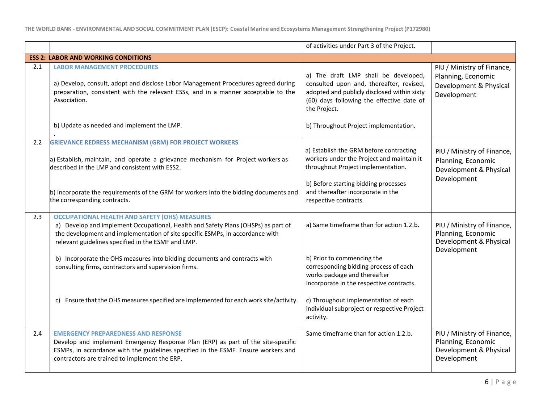|     |                                                                                                                                                                                                                                                                                                                             | of activities under Part 3 of the Project.                                                                                                                                                                                                          |                                                                                           |
|-----|-----------------------------------------------------------------------------------------------------------------------------------------------------------------------------------------------------------------------------------------------------------------------------------------------------------------------------|-----------------------------------------------------------------------------------------------------------------------------------------------------------------------------------------------------------------------------------------------------|-------------------------------------------------------------------------------------------|
|     | <b>ESS 2: LABOR AND WORKING CONDITIONS</b>                                                                                                                                                                                                                                                                                  |                                                                                                                                                                                                                                                     |                                                                                           |
| 2.1 | <b>LABOR MANAGEMENT PROCEDURES</b><br>a) Develop, consult, adopt and disclose Labor Management Procedures agreed during<br>preparation, consistent with the relevant ESSs, and in a manner acceptable to the<br>Association.                                                                                                | a) The draft LMP shall be developed,<br>consulted upon and, thereafter, revised,<br>adopted and publicly disclosed within sixty<br>(60) days following the effective date of<br>the Project.                                                        | PIU / Ministry of Finance,<br>Planning, Economic<br>Development & Physical<br>Development |
|     | b) Update as needed and implement the LMP.                                                                                                                                                                                                                                                                                  | b) Throughout Project implementation.                                                                                                                                                                                                               |                                                                                           |
| 2.2 | <b>GRIEVANCE REDRESS MECHANISM (GRM) FOR PROJECT WORKERS</b><br>a) Establish, maintain, and operate a grievance mechanism for Project workers as<br>described in the LMP and consistent with ESS2.<br>b) Incorporate the requirements of the GRM for workers into the bidding documents and<br>the corresponding contracts. | a) Establish the GRM before contracting<br>workers under the Project and maintain it<br>throughout Project implementation.<br>b) Before starting bidding processes<br>and thereafter incorporate in the<br>respective contracts.                    | PIU / Ministry of Finance,<br>Planning, Economic<br>Development & Physical<br>Development |
| 2.3 | <b>OCCUPATIONAL HEALTH AND SAFETY (OHS) MEASURES</b><br>a) Develop and implement Occupational, Health and Safety Plans (OHSPs) as part of<br>the development and implementation of site specific ESMPs, in accordance with<br>relevant guidelines specified in the ESMF and LMP.                                            | a) Same timeframe than for action 1.2.b.                                                                                                                                                                                                            | PIU / Ministry of Finance,<br>Planning, Economic<br>Development & Physical<br>Development |
|     | b) Incorporate the OHS measures into bidding documents and contracts with<br>consulting firms, contractors and supervision firms.<br>c) Ensure that the OHS measures specified are implemented for each work site/activity.                                                                                                 | b) Prior to commencing the<br>corresponding bidding process of each<br>works package and thereafter<br>incorporate in the respective contracts.<br>c) Throughout implementation of each<br>individual subproject or respective Project<br>activity. |                                                                                           |
| 2.4 | <b>EMERGENCY PREPAREDNESS AND RESPONSE</b><br>Develop and implement Emergency Response Plan (ERP) as part of the site-specific<br>ESMPs, in accordance with the guidelines specified in the ESMF. Ensure workers and<br>contractors are trained to implement the ERP.                                                       | Same timeframe than for action 1.2.b.                                                                                                                                                                                                               | PIU / Ministry of Finance,<br>Planning, Economic<br>Development & Physical<br>Development |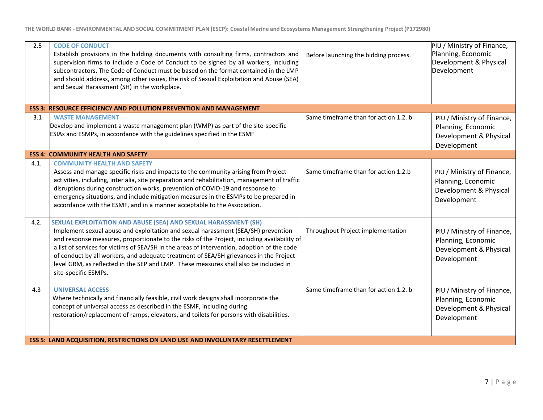| 2.5  | <b>CODE OF CONDUCT</b><br>Establish provisions in the bidding documents with consulting firms, contractors and<br>supervision firms to include a Code of Conduct to be signed by all workers, including<br>subcontractors. The Code of Conduct must be based on the format contained in the LMP<br>and should address, among other issues, the risk of Sexual Exploitation and Abuse (SEA)<br>and Sexual Harassment (SH) in the workplace.                                                                                                                 | Before launching the bidding process. | PIU / Ministry of Finance,<br>Planning, Economic<br>Development & Physical<br>Development |  |
|------|------------------------------------------------------------------------------------------------------------------------------------------------------------------------------------------------------------------------------------------------------------------------------------------------------------------------------------------------------------------------------------------------------------------------------------------------------------------------------------------------------------------------------------------------------------|---------------------------------------|-------------------------------------------------------------------------------------------|--|
|      | <b>ESS 3: RESOURCE EFFICIENCY AND POLLUTION PREVENTION AND MANAGEMENT</b>                                                                                                                                                                                                                                                                                                                                                                                                                                                                                  |                                       |                                                                                           |  |
| 3.1  | <b>WASTE MANAGEMENT</b><br>Develop and implement a waste management plan (WMP) as part of the site-specific<br>ESIAs and ESMPs, in accordance with the guidelines specified in the ESMF                                                                                                                                                                                                                                                                                                                                                                    | Same timeframe than for action 1.2. b | PIU / Ministry of Finance,<br>Planning, Economic<br>Development & Physical<br>Development |  |
|      | <b>ESS 4: COMMUNITY HEALTH AND SAFETY</b>                                                                                                                                                                                                                                                                                                                                                                                                                                                                                                                  |                                       |                                                                                           |  |
| 4.1. | <b>COMMUNITY HEALTH AND SAFETY</b><br>Assess and manage specific risks and impacts to the community arising from Project<br>activities, including, inter alia, site preparation and rehabilitation, management of traffic<br>disruptions during construction works, prevention of COVID-19 and response to<br>emergency situations, and include mitigation measures in the ESMPs to be prepared in<br>accordance with the ESMF, and in a manner acceptable to the Association.                                                                             | Same timeframe than for action 1.2.b  | PIU / Ministry of Finance,<br>Planning, Economic<br>Development & Physical<br>Development |  |
| 4.2. | SEXUAL EXPLOITATION AND ABUSE (SEA) AND SEXUAL HARASSMENT (SH)<br>Implement sexual abuse and exploitation and sexual harassment (SEA/SH) prevention<br>and response measures, proportionate to the risks of the Project, including availability of<br>a list of services for victims of SEA/SH in the areas of intervention, adoption of the code<br>of conduct by all workers, and adequate treatment of SEA/SH grievances in the Project<br>level GRM, as reflected in the SEP and LMP. These measures shall also be included in<br>site-specific ESMPs. | Throughout Project implementation     | PIU / Ministry of Finance,<br>Planning, Economic<br>Development & Physical<br>Development |  |
| 4.3  | <b>UNIVERSAL ACCESS</b><br>Where technically and financially feasible, civil work designs shall incorporate the<br>concept of universal access as described in the ESMF, including during<br>restoration/replacement of ramps, elevators, and toilets for persons with disabilities.                                                                                                                                                                                                                                                                       | Same timeframe than for action 1.2. b | PIU / Ministry of Finance,<br>Planning, Economic<br>Development & Physical<br>Development |  |
|      | <b>ESS 5: LAND ACQUISITION, RESTRICTIONS ON LAND USE AND INVOLUNTARY RESETTLEMENT</b>                                                                                                                                                                                                                                                                                                                                                                                                                                                                      |                                       |                                                                                           |  |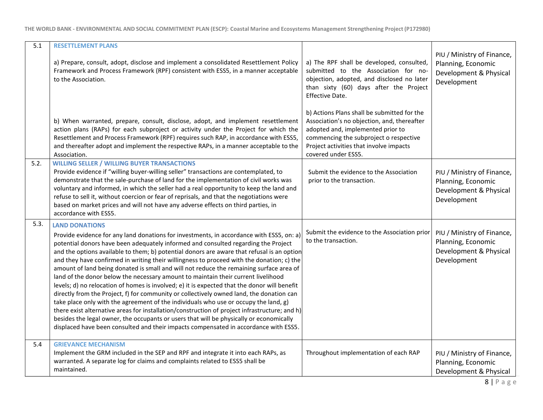| 5.1  | <b>RESETTLEMENT PLANS</b>                                                                                                                                                                                                                                                                                                                                                                                                                                                                                                                                                                                                                                                                                                                                                                                                                                                                                                                                                                                                                                                                                                                                  |                                                                                                                                                                                                                                             |                                                                                           |
|------|------------------------------------------------------------------------------------------------------------------------------------------------------------------------------------------------------------------------------------------------------------------------------------------------------------------------------------------------------------------------------------------------------------------------------------------------------------------------------------------------------------------------------------------------------------------------------------------------------------------------------------------------------------------------------------------------------------------------------------------------------------------------------------------------------------------------------------------------------------------------------------------------------------------------------------------------------------------------------------------------------------------------------------------------------------------------------------------------------------------------------------------------------------|---------------------------------------------------------------------------------------------------------------------------------------------------------------------------------------------------------------------------------------------|-------------------------------------------------------------------------------------------|
|      | a) Prepare, consult, adopt, disclose and implement a consolidated Resettlement Policy<br>Framework and Process Framework (RPF) consistent with ESS5, in a manner acceptable<br>to the Association.                                                                                                                                                                                                                                                                                                                                                                                                                                                                                                                                                                                                                                                                                                                                                                                                                                                                                                                                                         | a) The RPF shall be developed, consulted,<br>submitted to the Association for no-<br>objection, adopted, and disclosed no later<br>than sixty (60) days after the Project<br>Effective Date.                                                | PIU / Ministry of Finance,<br>Planning, Economic<br>Development & Physical<br>Development |
|      | b) When warranted, prepare, consult, disclose, adopt, and implement resettlement<br>action plans (RAPs) for each subproject or activity under the Project for which the<br>Resettlement and Process Framework (RPF) requires such RAP, in accordance with ESS5,<br>and thereafter adopt and implement the respective RAPs, in a manner acceptable to the<br>Association.                                                                                                                                                                                                                                                                                                                                                                                                                                                                                                                                                                                                                                                                                                                                                                                   | b) Actions Plans shall be submitted for the<br>Association's no objection, and, thereafter<br>adopted and, implemented prior to<br>commencing the subproject o respective<br>Project activities that involve impacts<br>covered under ESS5. |                                                                                           |
| 5.2. | <b>WILLING SELLER / WILLING BUYER TRANSACTIONS</b><br>Provide evidence if "willing buyer-willing seller" transactions are contemplated, to<br>demonstrate that the sale-purchase of land for the implementation of civil works was<br>voluntary and informed, in which the seller had a real opportunity to keep the land and<br>refuse to sell it, without coercion or fear of reprisals, and that the negotiations were<br>based on market prices and will not have any adverse effects on third parties, in<br>accordance with ESS5.                                                                                                                                                                                                                                                                                                                                                                                                                                                                                                                                                                                                                    | Submit the evidence to the Association<br>prior to the transaction.                                                                                                                                                                         | PIU / Ministry of Finance,<br>Planning, Economic<br>Development & Physical<br>Development |
| 5.3. | <b>LAND DONATIONS</b><br>Provide evidence for any land donations for investments, in accordance with ESS5, on: a)<br>potential donors have been adequately informed and consulted regarding the Project<br>and the options available to them; b) potential donors are aware that refusal is an option<br>and they have confirmed in writing their willingness to proceed with the donation; c) the<br>amount of land being donated is small and will not reduce the remaining surface area of<br>land of the donor below the necessary amount to maintain their current livelihood<br>levels; d) no relocation of homes is involved; e) it is expected that the donor will benefit<br>directly from the Project, f) for community or collectively owned land, the donation can<br>take place only with the agreement of the individuals who use or occupy the land, g)<br>there exist alternative areas for installation/construction of project infrastructure; and h)<br>besides the legal owner, the occupants or users that will be physically or economically<br>displaced have been consulted and their impacts compensated in accordance with ESS5. | Submit the evidence to the Association prior<br>to the transaction.                                                                                                                                                                         | PIU / Ministry of Finance,<br>Planning, Economic<br>Development & Physical<br>Development |
| 5.4  | <b>GRIEVANCE MECHANISM</b><br>Implement the GRM included in the SEP and RPF and integrate it into each RAPs, as<br>warranted. A separate log for claims and complaints related to ESS5 shall be<br>maintained.                                                                                                                                                                                                                                                                                                                                                                                                                                                                                                                                                                                                                                                                                                                                                                                                                                                                                                                                             | Throughout implementation of each RAP                                                                                                                                                                                                       | PIU / Ministry of Finance,<br>Planning, Economic<br>Development & Physical                |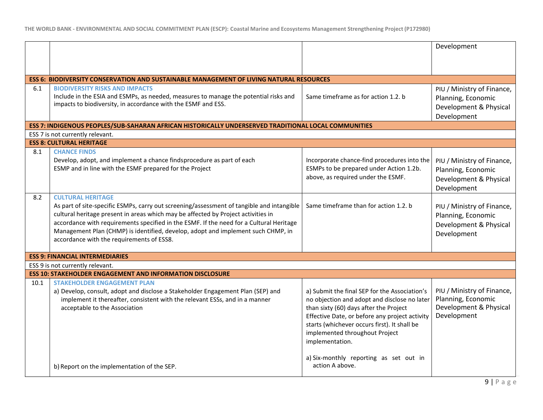|      |                                                                                                                               |                                                   | Development                |
|------|-------------------------------------------------------------------------------------------------------------------------------|---------------------------------------------------|----------------------------|
|      |                                                                                                                               |                                                   |                            |
|      |                                                                                                                               |                                                   |                            |
|      | <b>ESS 6: BIODIVERSITY CONSERVATION AND SUSTAINABLE MANAGEMENT OF LIVING NATURAL RESOURCES</b>                                |                                                   |                            |
| 6.1  | <b>BIODIVERSITY RISKS AND IMPACTS</b>                                                                                         |                                                   | PIU / Ministry of Finance, |
|      | Include in the ESIA and ESMPs, as needed, measures to manage the potential risks and                                          | Same timeframe as for action 1.2. b               | Planning, Economic         |
|      | impacts to biodiversity, in accordance with the ESMF and ESS.                                                                 |                                                   | Development & Physical     |
|      |                                                                                                                               |                                                   | Development                |
|      | ESS 7: INDIGENOUS PEOPLES/SUB-SAHARAN AFRICAN HISTORICALLY UNDERSERVED TRADITIONAL LOCAL COMMUNITIES                          |                                                   |                            |
|      | ESS 7 is not currently relevant.                                                                                              |                                                   |                            |
|      | <b>ESS 8: CULTURAL HERITAGE</b>                                                                                               |                                                   |                            |
| 8.1  | <b>CHANCE FINDS</b>                                                                                                           |                                                   |                            |
|      | Develop, adopt, and implement a chance findsprocedure as part of each                                                         | Incorporate chance-find procedures into the       | PIU / Ministry of Finance, |
|      | ESMP and in line with the ESMF prepared for the Project                                                                       | ESMPs to be prepared under Action 1.2b.           | Planning, Economic         |
|      |                                                                                                                               | above, as required under the ESMF.                | Development & Physical     |
|      |                                                                                                                               |                                                   | Development                |
| 8.2  | <b>CULTURAL HERITAGE</b>                                                                                                      |                                                   |                            |
|      | As part of site-specific ESMPs, carry out screening/assessment of tangible and intangible                                     | Same timeframe than for action 1.2. b             | PIU / Ministry of Finance, |
|      | cultural heritage present in areas which may be affected by Project activities in                                             |                                                   | Planning, Economic         |
|      | accordance with requirements specified in the ESMF. If the need for a Cultural Heritage                                       |                                                   | Development & Physical     |
|      | Management Plan (CHMP) is identified, develop, adopt and implement such CHMP, in<br>accordance with the requirements of ESS8. |                                                   | Development                |
|      |                                                                                                                               |                                                   |                            |
|      | <b>ESS 9: FINANCIAL INTERMEDIARIES</b>                                                                                        |                                                   |                            |
|      | ESS 9 is not currently relevant.                                                                                              |                                                   |                            |
|      | <b>ESS 10: STAKEHOLDER ENGAGEMENT AND INFORMATION DISCLOSURE</b>                                                              |                                                   |                            |
| 10.1 | <b>STAKEHOLDER ENGAGEMENT PLAN</b>                                                                                            |                                                   |                            |
|      | a) Develop, consult, adopt and disclose a Stakeholder Engagement Plan (SEP) and                                               | a) Submit the final SEP for the Association's     | PIU / Ministry of Finance, |
|      | implement it thereafter, consistent with the relevant ESSs, and in a manner                                                   | no objection and adopt and disclose no later      | Planning, Economic         |
|      | acceptable to the Association                                                                                                 | than sixty (60) days after the Project            | Development & Physical     |
|      |                                                                                                                               | Effective Date, or before any project activity    | Development                |
|      |                                                                                                                               | starts (whichever occurs first). It shall be      |                            |
|      |                                                                                                                               | implemented throughout Project<br>implementation. |                            |
|      |                                                                                                                               |                                                   |                            |
|      |                                                                                                                               | a) Six-monthly reporting as set out in            |                            |
|      | b) Report on the implementation of the SEP.                                                                                   | action A above.                                   |                            |
|      |                                                                                                                               |                                                   |                            |